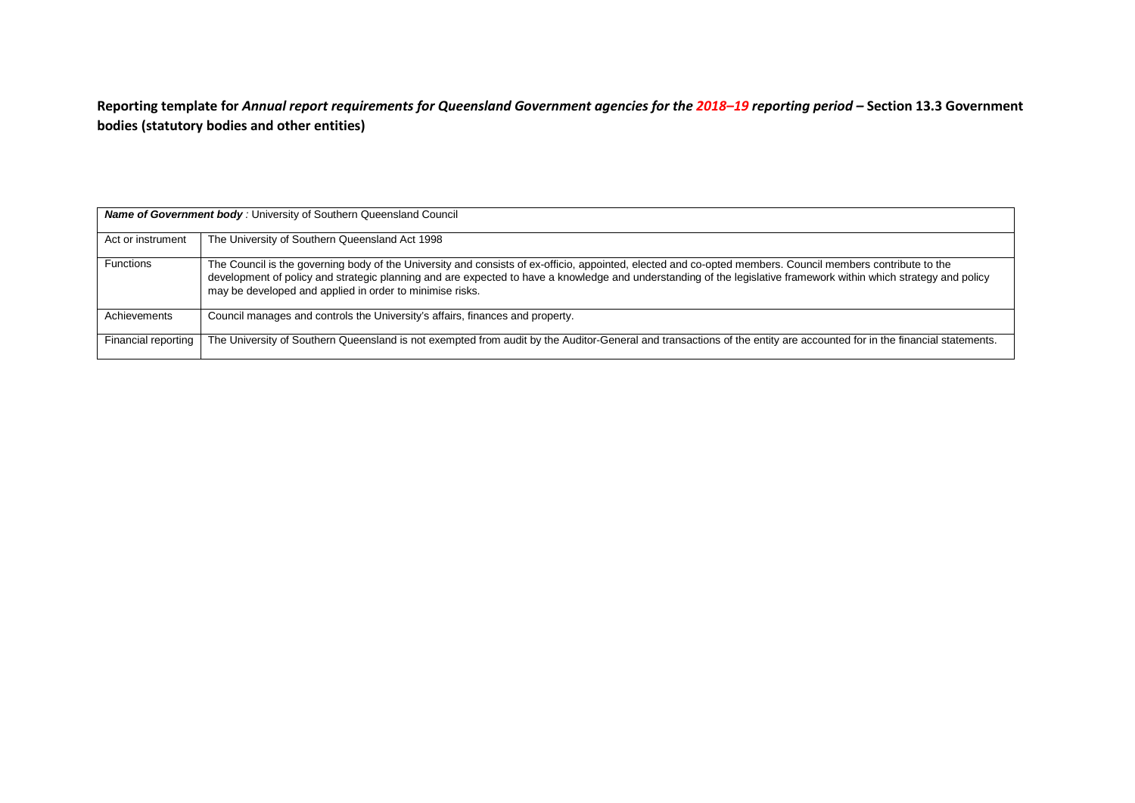**Reporting template for** *Annual report requirements for Queensland Government agencies for the 2018–19 reporting period –* **Section 13.3 Government bodies (statutory bodies and other entities)**

| <b>Name of Government body: University of Southern Queensland Council</b> |                                                                                                                                                                                                                                                                                                                                                                                             |  |  |
|---------------------------------------------------------------------------|---------------------------------------------------------------------------------------------------------------------------------------------------------------------------------------------------------------------------------------------------------------------------------------------------------------------------------------------------------------------------------------------|--|--|
| Act or instrument                                                         | The University of Southern Queensland Act 1998                                                                                                                                                                                                                                                                                                                                              |  |  |
| <b>Functions</b>                                                          | The Council is the governing body of the University and consists of ex-officio, appointed, elected and co-opted members. Council members contribute to the<br>development of policy and strategic planning and are expected to have a knowledge and understanding of the legislative framework within which strategy and policy<br>may be developed and applied in order to minimise risks. |  |  |
| Achievements                                                              | Council manages and controls the University's affairs, finances and property.                                                                                                                                                                                                                                                                                                               |  |  |
| Financial reporting                                                       | The University of Southern Queensland is not exempted from audit by the Auditor-General and transactions of the entity are accounted for in the financial statements.                                                                                                                                                                                                                       |  |  |